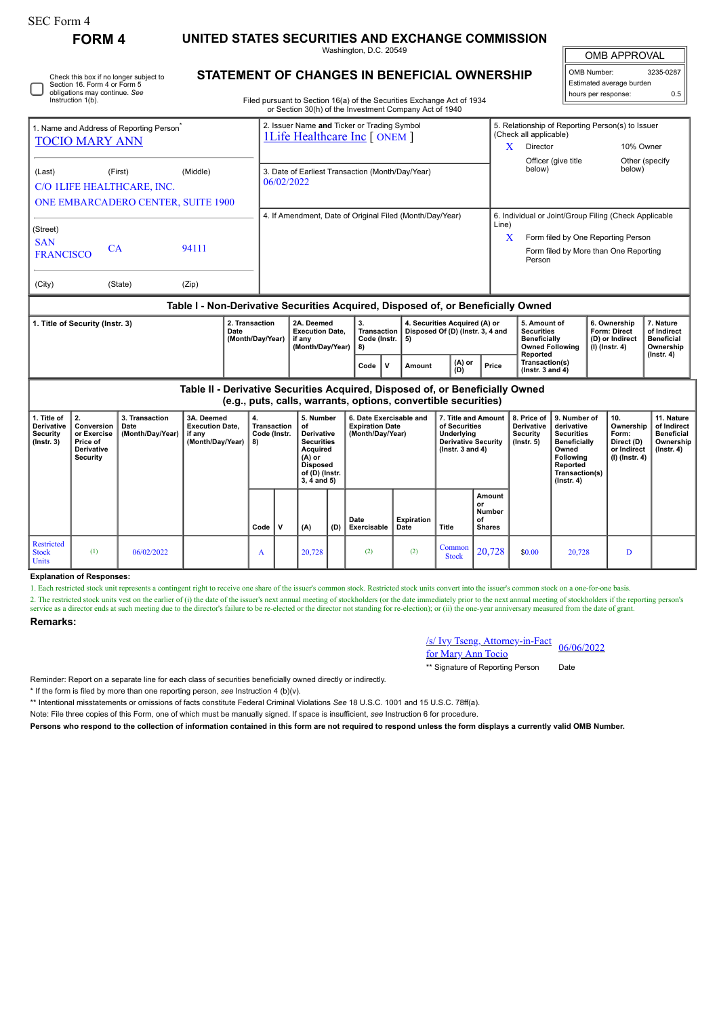|                                                                                                                              | <b>FORM 4</b>                                                                                                                   |         | UNITED STATES SECURITIES AND EXCHANGE COMMISSION                                                                                                                                 |                                                                                     |                                                                    |                                                                                                                                                 |                                                                       |                                                                         |               |                                                    |               |                                                                                                                     |                                                                                                     |                                           |                                                                                    |                                                            |            |  |
|------------------------------------------------------------------------------------------------------------------------------|---------------------------------------------------------------------------------------------------------------------------------|---------|----------------------------------------------------------------------------------------------------------------------------------------------------------------------------------|-------------------------------------------------------------------------------------|--------------------------------------------------------------------|-------------------------------------------------------------------------------------------------------------------------------------------------|-----------------------------------------------------------------------|-------------------------------------------------------------------------|---------------|----------------------------------------------------|---------------|---------------------------------------------------------------------------------------------------------------------|-----------------------------------------------------------------------------------------------------|-------------------------------------------|------------------------------------------------------------------------------------|------------------------------------------------------------|------------|--|
|                                                                                                                              |                                                                                                                                 |         | Washington, D.C. 20549                                                                                                                                                           |                                                                                     |                                                                    |                                                                                                                                                 |                                                                       |                                                                         |               |                                                    |               |                                                                                                                     |                                                                                                     |                                           | <b>OMB APPROVAL</b>                                                                |                                                            |            |  |
| Check this box if no longer subject to<br>Section 16. Form 4 or Form 5<br>obligations may continue. See<br>Instruction 1(b). |                                                                                                                                 |         | STATEMENT OF CHANGES IN BENEFICIAL OWNERSHIP<br>Filed pursuant to Section 16(a) of the Securities Exchange Act of 1934<br>or Section 30(h) of the Investment Company Act of 1940 |                                                                                     |                                                                    |                                                                                                                                                 |                                                                       |                                                                         |               |                                                    |               |                                                                                                                     |                                                                                                     |                                           | OMB Number:<br>3235-0287<br>Estimated average burden<br>0.5<br>hours per response: |                                                            |            |  |
| 1. Name and Address of Reporting Person <sup>7</sup><br><b>TOCIO MARY ANN</b>                                                |                                                                                                                                 |         |                                                                                                                                                                                  | 2. Issuer Name and Ticker or Trading Symbol<br><b>1Life Healthcare Inc [ ONEM ]</b> |                                                                    |                                                                                                                                                 |                                                                       |                                                                         |               |                                                    |               | 5. Relationship of Reporting Person(s) to Issuer<br>(Check all applicable)<br>10% Owner<br>Director<br>$\mathbf{X}$ |                                                                                                     |                                           |                                                                                    |                                                            |            |  |
| (First)<br>(Middle)<br>(Last)<br>C/O 1LIFE HEALTHCARE, INC.<br>ONE EMBARCADERO CENTER, SUITE 1900                            |                                                                                                                                 |         |                                                                                                                                                                                  |                                                                                     | 3. Date of Earliest Transaction (Month/Day/Year)<br>06/02/2022     |                                                                                                                                                 |                                                                       |                                                                         |               |                                                    |               |                                                                                                                     | below)                                                                                              | Officer (give title                       |                                                                                    | Other (specify<br>below)                                   |            |  |
|                                                                                                                              |                                                                                                                                 |         |                                                                                                                                                                                  |                                                                                     | 4. If Amendment, Date of Original Filed (Month/Day/Year)           |                                                                                                                                                 |                                                                       |                                                                         |               |                                                    |               |                                                                                                                     | 6. Individual or Joint/Group Filing (Check Applicable                                               |                                           |                                                                                    |                                                            |            |  |
| (Street)<br><b>SAN</b><br>CA<br><b>FRANCISCO</b>                                                                             |                                                                                                                                 |         | 94111                                                                                                                                                                            |                                                                                     |                                                                    |                                                                                                                                                 |                                                                       |                                                                         |               |                                                    |               |                                                                                                                     | Line)<br>Form filed by One Reporting Person<br>X<br>Form filed by More than One Reporting<br>Person |                                           |                                                                                    |                                                            |            |  |
| (City)                                                                                                                       |                                                                                                                                 | (State) | (Zip)                                                                                                                                                                            |                                                                                     |                                                                    |                                                                                                                                                 |                                                                       |                                                                         |               |                                                    |               |                                                                                                                     |                                                                                                     |                                           |                                                                                    |                                                            |            |  |
|                                                                                                                              | Table I - Non-Derivative Securities Acquired, Disposed of, or Beneficially Owned                                                |         |                                                                                                                                                                                  |                                                                                     |                                                                    |                                                                                                                                                 |                                                                       |                                                                         |               |                                                    |               |                                                                                                                     |                                                                                                     |                                           |                                                                                    |                                                            |            |  |
| 1. Title of Security (Instr. 3)<br>Date                                                                                      |                                                                                                                                 |         | 2. Transaction<br>(Month/Day/Year)                                                                                                                                               |                                                                                     | 2A. Deemed<br><b>Execution Date.</b><br>if any<br>(Month/Day/Year) | 3.<br>Transaction<br>Code (Instr.<br>8)                                                                                                         |                                                                       | 4. Securities Acquired (A) or<br>Disposed Of (D) (Instr. 3, 4 and<br>5) |               |                                                    |               | 5. Amount of<br><b>Securities</b><br>Beneficially<br><b>Owned Following</b>                                         |                                                                                                     | (I) (Instr. 4)                            | 6. Ownership<br>Form: Direct<br>(D) or Indirect                                    | 7. Nature<br>of Indirect<br><b>Beneficial</b><br>Ownership |            |  |
|                                                                                                                              |                                                                                                                                 |         |                                                                                                                                                                                  |                                                                                     |                                                                    |                                                                                                                                                 | Code                                                                  | $\mathbf v$                                                             | <b>Amount</b> |                                                    | (A) or<br>(D) | Price                                                                                                               | Reported<br>Transaction(s)<br>(Instr. $3$ and $4$ )                                                 |                                           |                                                                                    |                                                            | (Instr. 4) |  |
|                                                                                                                              |                                                                                                                                 |         |                                                                                                                                                                                  |                                                                                     |                                                                    | Table II - Derivative Securities Acquired, Disposed of, or Beneficially Owned<br>(e.g., puts, calls, warrants, options, convertible securities) |                                                                       |                                                                         |               |                                                    |               |                                                                                                                     |                                                                                                     |                                           |                                                                                    |                                                            |            |  |
| 1. Title of<br>Derivative<br>Security                                                                                        | 3. Transaction<br>2.<br>3A. Deemed<br>Conversion<br><b>Execution Date,</b><br>Date<br>(Month/Dav/Year)<br>or Exercise<br>if any |         |                                                                                                                                                                                  | <b>Transaction</b><br>Code (Instr.                                                  | 5. Number<br>of<br><b>Derivative</b>                               |                                                                                                                                                 | 6. Date Exercisable and<br><b>Expiration Date</b><br>(Month/Day/Year) |                                                                         |               | 7. Title and Amount<br>of Securities<br>Underlying |               | 8. Price of<br><b>Derivative</b><br>Security                                                                        | derivative<br><b>Securities</b>                                                                     | 9. Number of<br>10.<br>Ownership<br>Form: |                                                                                    | 11. Nature<br>of Indirect<br><b>Beneficial</b>             |            |  |

**Code V (A) (D) Date Exercisable Expiration Date Title of Shares** Restricted Stock Units (1)  $0.6/02/2022$  A 20,728 (2) (2) Common  $\begin{array}{|c|c|c|c|c|c|c|c|} \hline \text{Common} & 20,728 & 30.00 & 20,728 & D \ \hline \end{array}$ **Explanation of Responses:** 1. Each restricted stock unit represents a contingent right to receive one share of the issuer's common stock. Restricted stock units convert into the issuer's common stock on a one-for-one basis.

2. The restricted stock units vest on the earlier of (i) the date of the issuer's next annual meeting of stockholders (or the date immediately prior to the next annual meeting of stockholders if the reporting person's service as a director ends at such meeting due to the director's failure to be re-elected or the director not standing for re-election); or (ii) the one-year anniversary measured from the date of grant.

**Remarks:**

**Security (Instr. 3)**

**or Exercise Price of Derivative Security**

/s/ Ivy Tseng, Attorney-in-Fact <u>for Mary Ann Tocio</u> 06/06/2022<br>for Mary Ann Tocio

**Underlying Derivative Security (Instr. 3 and 4)**

**Amount or Number**

**Security (Instr. 5)**

**Securities Beneficially Owned Following Reported Transaction(s) (Instr. 4)**

**Form: Direct (D) or Indirect (I) (Instr. 4)** **Beneficial Ownership (Instr. 4)**

\*\* Signature of Reporting Person Date

Reminder: Report on a separate line for each class of securities beneficially owned directly or indirectly.

**if any (Month/Day/Year)**

**Code (Instr. 8)**

**Securities Acquired (A) or Disposed of (D) (Instr. 3, 4 and 5)**

\* If the form is filed by more than one reporting person, *see* Instruction 4 (b)(v).

\*\* Intentional misstatements or omissions of facts constitute Federal Criminal Violations *See* 18 U.S.C. 1001 and 15 U.S.C. 78ff(a).

Note: File three copies of this Form, one of which must be manually signed. If space is insufficient, *see* Instruction 6 for procedure.

**Persons who respond to the collection of information contained in this form are not required to respond unless the form displays a currently valid OMB Number.**